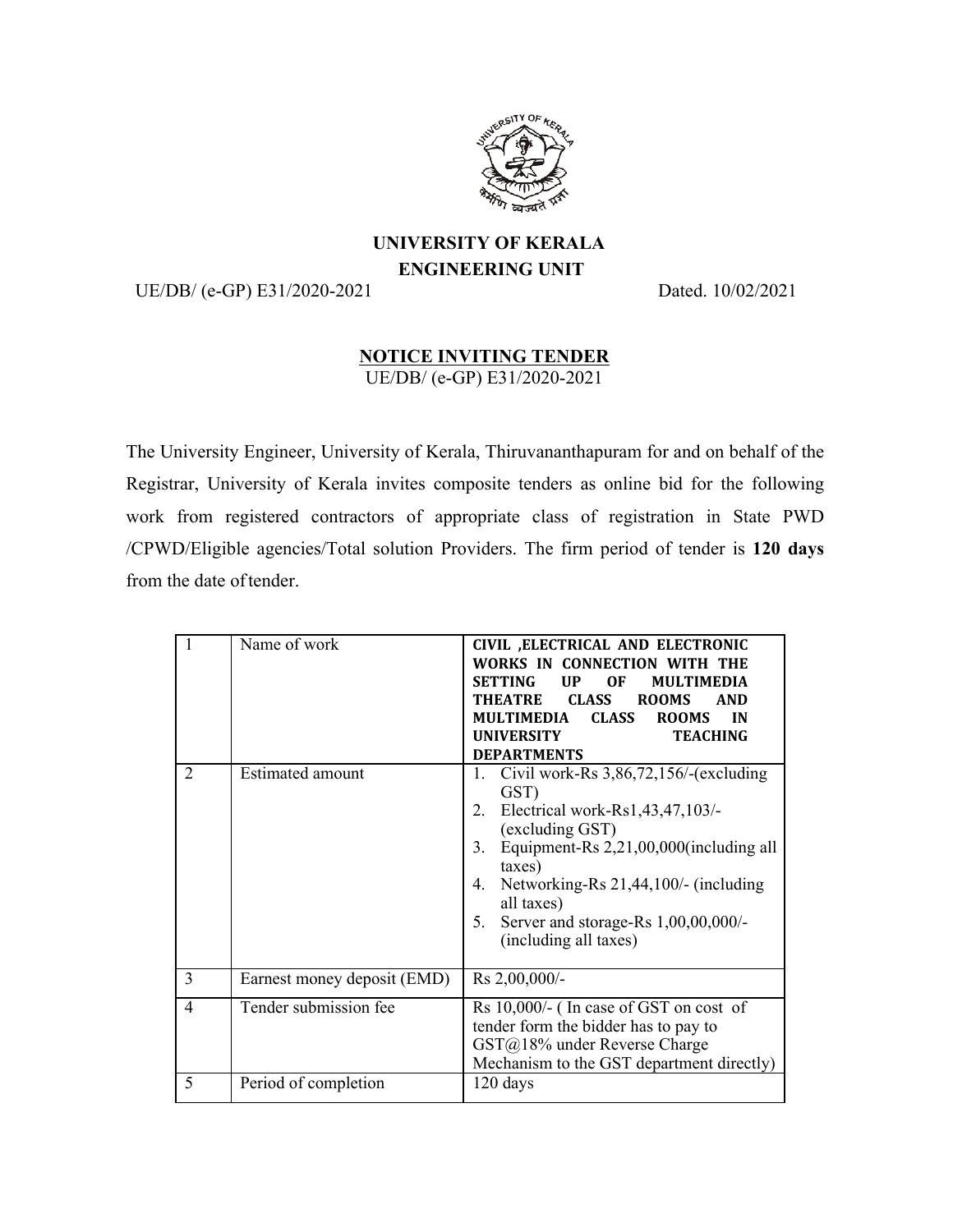

## **UNIVERSITY OF KERALA ENGINEERING UNIT**

UE/DB/ (e-GP) E31/2020-2021 Dated. 10/02/2021

## **NOTICE INVITING TENDER**

UE/DB/ (e-GP) E31/2020-2021

The University Engineer, University of Kerala, Thiruvananthapuram for and on behalf of the Registrar, University of Kerala invites composite tenders as online bid for the following work from registered contractors of appropriate class of registration in State PWD /CPWD/Eligible agencies/Total solution Providers. The firm period of tender is **120 days**  from the date of tender.

| $\mathbf{1}$   | Name of work                | CIVIL , ELECTRICAL AND ELECTRONIC<br>WORKS IN CONNECTION<br><b>SETTING</b><br>UP<br>0F<br><b>MULTIMEDIA</b><br><b>THEATRE</b><br><b>CLASS</b><br><b>ROOMS</b><br><b>AND</b><br><b>MULTIMEDIA</b><br><b>CLASS</b><br><b>ROOMS</b><br><b>IN</b><br><b>UNIVERSITY</b><br><b>TEACHING</b><br><b>DEPARTMENTS</b>                |
|----------------|-----------------------------|----------------------------------------------------------------------------------------------------------------------------------------------------------------------------------------------------------------------------------------------------------------------------------------------------------------------------|
| 2              | <b>Estimated amount</b>     | Civil work-Rs $3,86,72,156$ /-(excluding<br>1.<br>GST)<br>Electrical work-Rs1,43,47,103/-<br>2.<br>(excluding GST)<br>Equipment-Rs 2,21,00,000(including all<br>3 <sub>1</sub><br>taxes)<br>Networking-Rs 21,44,100/- (including<br>4.<br>all taxes)<br>Server and storage-Rs 1,00,00,000/-<br>5.<br>(including all taxes) |
| $\overline{3}$ | Earnest money deposit (EMD) | Rs 2,00,000/-                                                                                                                                                                                                                                                                                                              |
| $\overline{4}$ | Tender submission fee       | Rs 10,000/- (In case of GST on cost of<br>tender form the bidder has to pay to<br>GST@18% under Reverse Charge<br>Mechanism to the GST department directly)                                                                                                                                                                |
| 5              | Period of completion        | 120 days                                                                                                                                                                                                                                                                                                                   |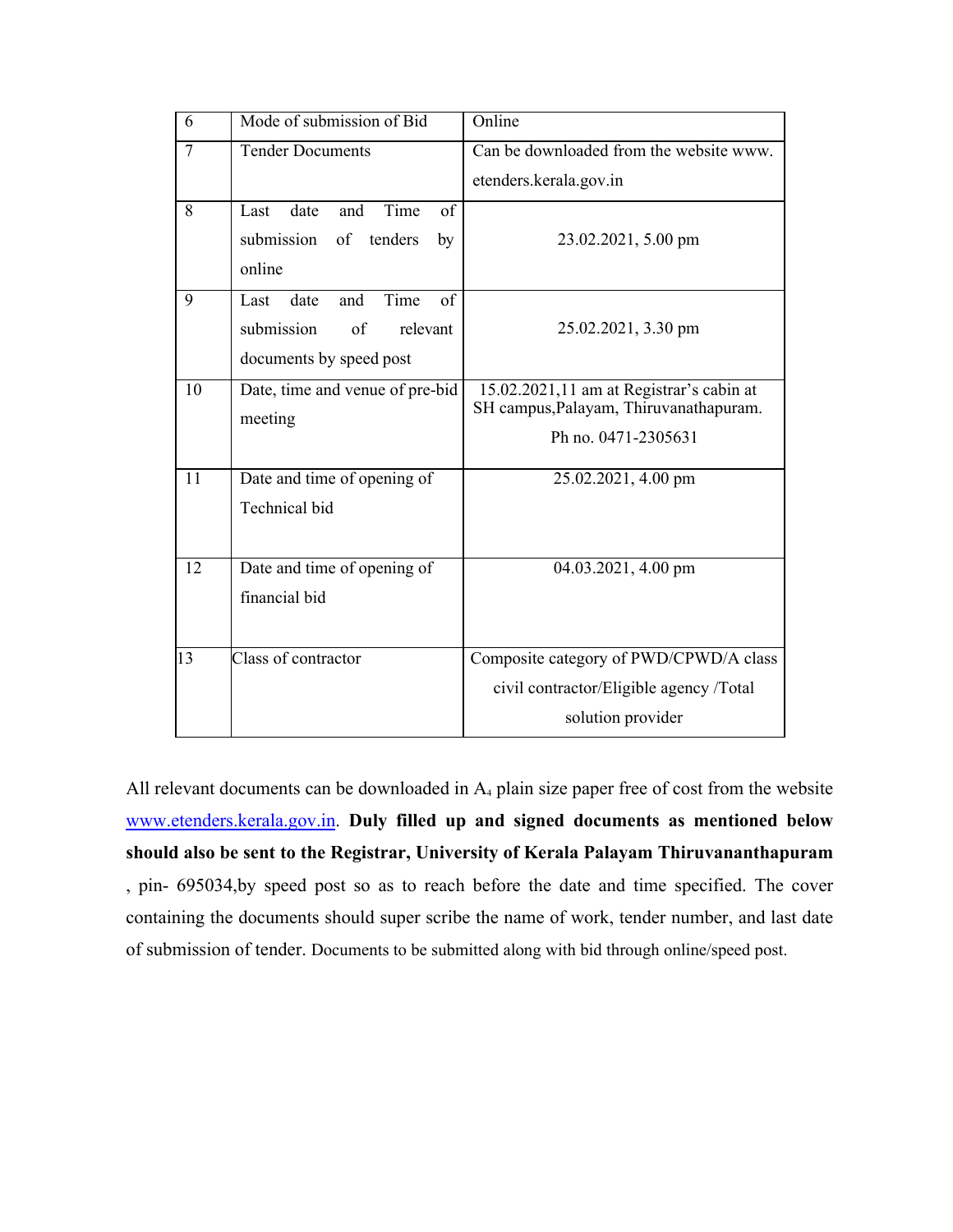| 6              | Mode of submission of Bid                                                                                 | Online                                                                                                    |
|----------------|-----------------------------------------------------------------------------------------------------------|-----------------------------------------------------------------------------------------------------------|
| $\overline{7}$ | <b>Tender Documents</b>                                                                                   | Can be downloaded from the website www.                                                                   |
|                |                                                                                                           | etenders.kerala.gov.in                                                                                    |
| 8              | Time<br>of<br>date<br>and<br>Last<br>submission<br>of tenders<br>by<br>online                             | 23.02.2021, 5.00 pm                                                                                       |
| 9              | Time<br>$\overline{of}$<br>and<br>Last<br>date<br>submission<br>of<br>relevant<br>documents by speed post | 25.02.2021, 3.30 pm                                                                                       |
| 10             | Date, time and venue of pre-bid<br>meeting                                                                | 15.02.2021,11 am at Registrar's cabin at<br>SH campus, Palayam, Thiruvanathapuram.<br>Ph no. 0471-2305631 |
| 11             | Date and time of opening of<br>Technical bid                                                              | 25.02.2021, 4.00 pm                                                                                       |
| 12             | Date and time of opening of<br>financial bid                                                              | 04.03.2021, 4.00 pm                                                                                       |
| $ 13\rangle$   | Class of contractor                                                                                       | Composite category of PWD/CPWD/A class<br>civil contractor/Eligible agency /Total<br>solution provider    |

All relevant documents can be downloaded in  $A<sub>4</sub>$  plain size paper free of cost from the website www.etenders.kerala.gov.in. **Duly filled up and signed documents as mentioned below should also be sent to the Registrar, University of Kerala Palayam Thiruvananthapuram**  , pin- 695034,by speed post so as to reach before the date and time specified. The cover containing the documents should super scribe the name of work, tender number, and last date of submission of tender. Documents to be submitted along with bid through online/speed post.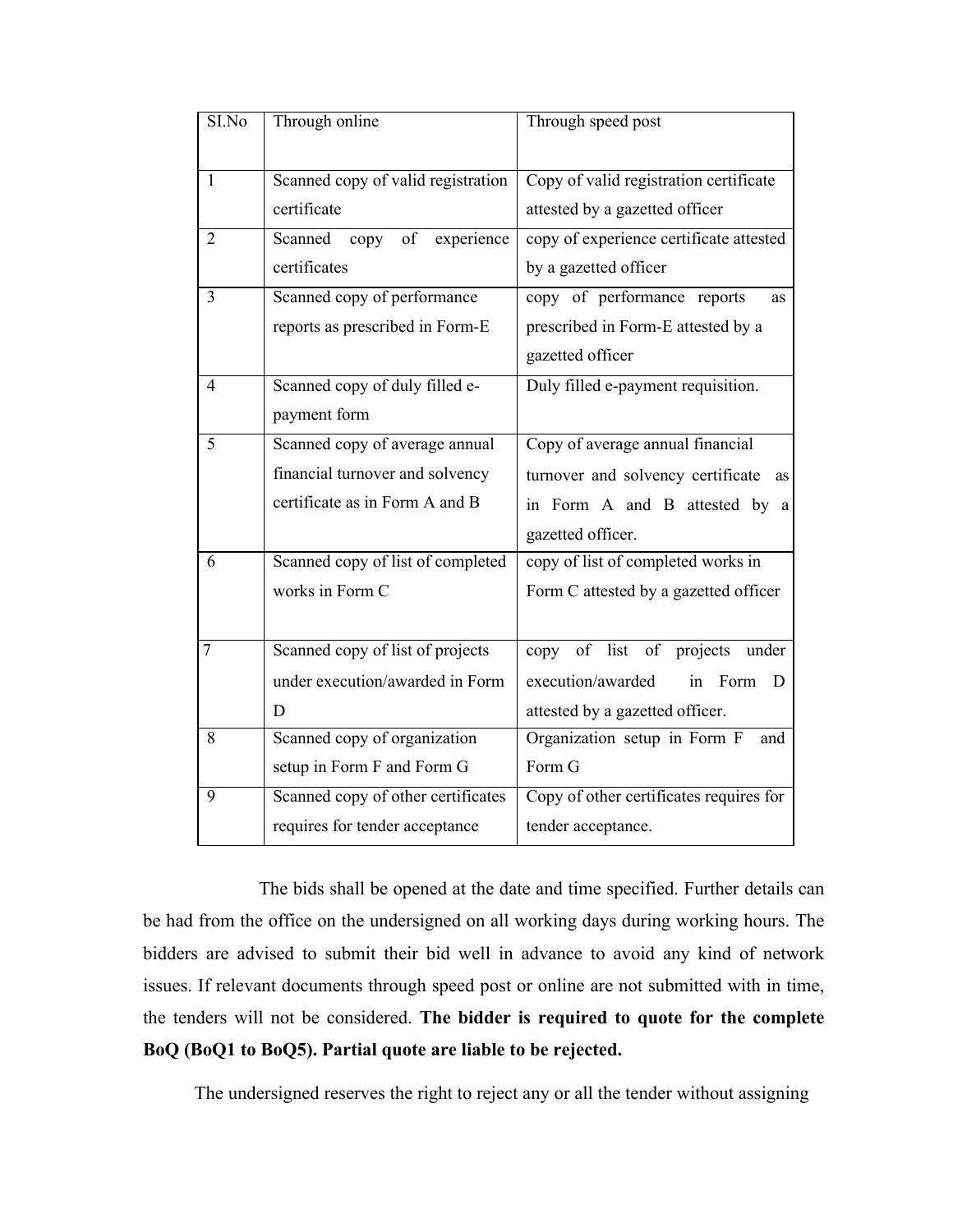| SI.No          | Through online                      | Through speed post                      |
|----------------|-------------------------------------|-----------------------------------------|
| $\mathbf{1}$   | Scanned copy of valid registration  | Copy of valid registration certificate  |
|                | certificate                         | attested by a gazetted officer          |
| $\overline{2}$ | Scanned<br>of<br>experience<br>copy | copy of experience certificate attested |
|                | certificates                        | by a gazetted officer                   |
| $\overline{3}$ | Scanned copy of performance         | copy of performance reports<br>as       |
|                | reports as prescribed in Form-E     | prescribed in Form-E attested by a      |
|                |                                     | gazetted officer                        |
| $\overline{4}$ | Scanned copy of duly filled e-      | Duly filled e-payment requisition.      |
|                | payment form                        |                                         |
| 5              | Scanned copy of average annual      | Copy of average annual financial        |
|                | financial turnover and solvency     | turnover and solvency certificate as    |
|                | certificate as in Form A and B      | in Form A and B attested by a           |
|                |                                     | gazetted officer.                       |
| 6              | Scanned copy of list of completed   | copy of list of completed works in      |
|                | works in Form C                     | Form C attested by a gazetted officer   |
|                |                                     |                                         |
| 7              | Scanned copy of list of projects    | copy of list of projects under          |
|                | under execution/awarded in Form     | execution/awarded<br>in Form D          |
|                | D                                   | attested by a gazetted officer.         |
| 8              | Scanned copy of organization        | Organization setup in Form F<br>and     |
|                | setup in Form F and Form G          | Form G                                  |
| 9              | Scanned copy of other certificates  | Copy of other certificates requires for |
|                | requires for tender acceptance      | tender acceptance.                      |

The bids shall be opened at the date and time specified. Further details can be had from the office on the undersigned on all working days during working hours. The bidders are advised to submit their bid well in advance to avoid any kind of network issues. If relevant documents through speed post or online are not submitted with in time, the tenders will not be considered. **The bidder is required to quote for the complete BoQ (BoQ1 to BoQ5). Partial quote are liable to be rejected.**

The undersigned reserves the right to reject any or all the tender without assigning